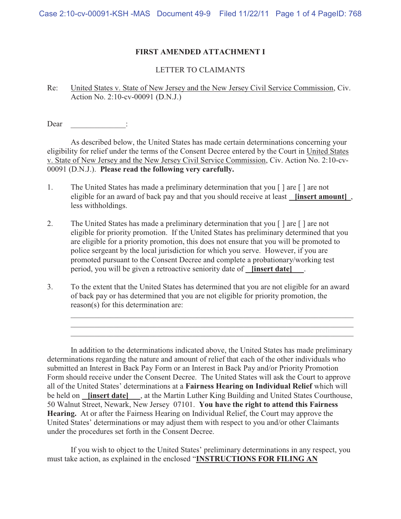# **FIRST AMENDED ATTACHMENT I**

#### LETTER TO CLAIMANTS

Re: United States v. State of New Jersey and the New Jersey Civil Service Commission, Civ. Action No. 2:10-cv-00091 (D.N.J.)

Dear :

 As described below, the United States has made certain determinations concerning your eligibility for relief under the terms of the Consent Decree entered by the Court in United States v. State of New Jersey and the New Jersey Civil Service Commission, Civ. Action No. 2:10-cv-00091 (D.N.J.). **Please read the following very carefully.**

- 1. The United States has made a preliminary determination that you [ ] are [ ] are not eligible for an award of back pay and that you should receive at least **[insert amount]** , less withholdings.
- 2. The United States has made a preliminary determination that you  $\lceil \cdot \rceil$  are not eligible for priority promotion. If the United States has preliminary determined that you are eligible for a priority promotion, this does not ensure that you will be promoted to police sergeant by the local jurisdiction for which you serve. However, if you are promoted pursuant to the Consent Decree and complete a probationary/working test period, you will be given a retroactive seniority date of **[insert date]** .
- 3. To the extent that the United States has determined that you are not eligible for an award of back pay or has determined that you are not eligible for priority promotion, the reason(s) for this determination are:

 \_\_\_\_\_\_\_\_\_\_\_\_\_\_\_\_\_\_\_\_\_\_\_\_\_\_\_\_\_\_\_\_\_\_\_\_\_\_\_\_\_\_\_\_\_\_\_\_\_\_\_\_\_\_\_\_\_\_\_\_\_\_\_\_\_\_\_\_\_\_\_\_ \_\_\_\_\_\_\_\_\_\_\_\_\_\_\_\_\_\_\_\_\_\_\_\_\_\_\_\_\_\_\_\_\_\_\_\_\_\_\_\_\_\_\_\_\_\_\_\_\_\_\_\_\_\_\_\_\_\_\_\_\_\_\_\_\_\_\_\_\_\_\_\_ \_\_\_\_\_\_\_\_\_\_\_\_\_\_\_\_\_\_\_\_\_\_\_\_\_\_\_\_\_\_\_\_\_\_\_\_\_\_\_\_\_\_\_\_\_\_\_\_\_\_\_\_\_\_\_\_\_\_\_\_\_\_\_\_\_\_\_\_\_\_\_\_

 In addition to the determinations indicated above, the United States has made preliminary determinations regarding the nature and amount of relief that each of the other individuals who submitted an Interest in Back Pay Form or an Interest in Back Pay and/or Priority Promotion Form should receive under the Consent Decree. The United States will ask the Court to approve all of the United States' determinations at a **Fairness Hearing on Individual Relief** which will be held on **[insert date]** , at the Martin Luther King Building and United States Courthouse, 50 Walnut Street, Newark, New Jersey 07101. **You have the right to attend this Fairness Hearing.** At or after the Fairness Hearing on Individual Relief, the Court may approve the United States' determinations or may adjust them with respect to you and/or other Claimants under the procedures set forth in the Consent Decree.

If you wish to object to the United States' preliminary determinations in any respect, you must take action, as explained in the enclosed "**INSTRUCTIONS FOR FILING AN**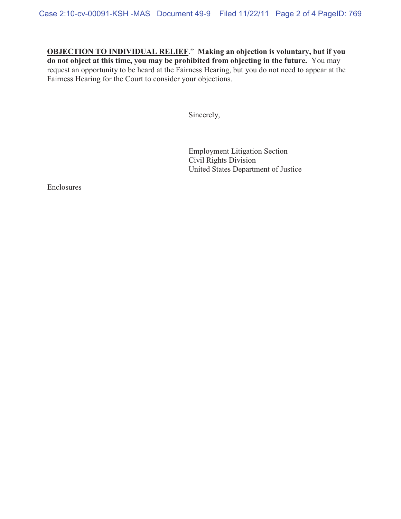**OBJECTION TO INDIVIDUAL RELIEF**." **Making an objection is voluntary, but if you do not object at this time, you may be prohibited from objecting in the future.** You may request an opportunity to be heard at the Fairness Hearing, but you do not need to appear at the Fairness Hearing for the Court to consider your objections.

Sincerely,

 Employment Litigation Section Civil Rights Division United States Department of Justice

Enclosures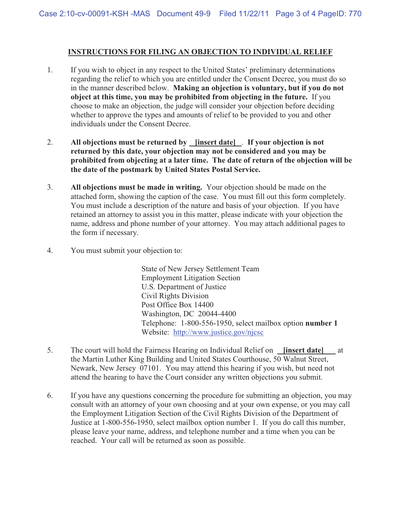### **INSTRUCTIONS FOR FILING AN OBJECTION TO INDIVIDUAL RELIEF**

- 1. If you wish to object in any respect to the United States' preliminary determinations regarding the relief to which you are entitled under the Consent Decree, you must do so in the manner described below. **Making an objection is voluntary, but if you do not object at this time, you may be prohibited from objecting in the future.** If you choose to make an objection, the judge will consider your objection before deciding whether to approve the types and amounts of relief to be provided to you and other individuals under the Consent Decree.
- 2. **All objections must be returned by [insert date]** . **If your objection is not returned by this date, your objection may not be considered and you may be prohibited from objecting at a later time. The date of return of the objection will be the date of the postmark by United States Postal Service.**
- 3. **All objections must be made in writing.** Your objection should be made on the attached form, showing the caption of the case. You must fill out this form completely. You must include a description of the nature and basis of your objection. If you have retained an attorney to assist you in this matter, please indicate with your objection the name, address and phone number of your attorney. You may attach additional pages to the form if necessary.
- 4. You must submit your objection to:

State of New Jersey Settlement Team Employment Litigation Section U.S. Department of Justice Civil Rights Division Post Office Box 14400 Washington, DC 20044-4400 Telephone: 1-800-556-1950, select mailbox option **number 1**  Website: http://www.justice.gov/njcsc

- 5. The court will hold the Fairness Hearing on Individual Relief on **[insert date]** at the Martin Luther King Building and United States Courthouse, 50 Walnut Street, Newark, New Jersey 07101. You may attend this hearing if you wish, but need not attend the hearing to have the Court consider any written objections you submit.
- 6. If you have any questions concerning the procedure for submitting an objection, you may consult with an attorney of your own choosing and at your own expense, or you may call the Employment Litigation Section of the Civil Rights Division of the Department of Justice at 1-800-556-1950, select mailbox option number 1. If you do call this number, please leave your name, address, and telephone number and a time when you can be reached. Your call will be returned as soon as possible.